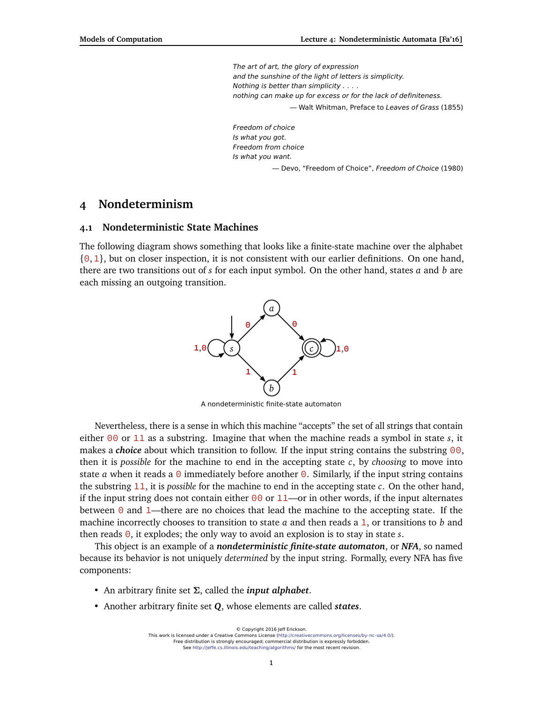The art of art, the glory of expression and the sunshine of the light of letters is simplicity. Nothing is better than simplicity . . . . nothing can make up for excess or for the lack of definiteness. — Walt Whitman, Preface to Leaves of Grass (1855)

Freedom of choice Is what you got. Freedom from choice Is what you want. — Devo, "Freedom of Choice", Freedom of Choice (1980)

# **4 Nondeterminism**

#### **4.1 Nondeterministic State Machines**

The following diagram shows something that looks like a finite-state machine over the alphabet  $\{0, 1\}$ , but on closer inspection, it is not consistent with our earlier definitions. On one hand, there are two transitions out of *s* for each input symbol. On the other hand, states *a* and *b* are each missing an outgoing transition.



A nondeterministic finite-state automaton

Nevertheless, there is a sense in which this machine "accepts" the set of all strings that contain either 00 or 11 as a substring. Imagine that when the machine reads a symbol in state *s*, it makes a *choice* about which transition to follow. If the input string contains the substring 00, then it is *possible* for the machine to end in the accepting state *c*, by *choosing* to move into state *a* when it reads a  $\theta$  immediately before another  $\theta$ . Similarly, if the input string contains the substring 11, it is *possible* for the machine to end in the accepting state *c*. On the other hand, if the input string does not contain either  $\theta\theta$  or 11—or in other words, if the input alternates between  $\theta$  and 1—there are no choices that lead the machine to the accepting state. If the machine incorrectly chooses to transition to state *a* and then reads a 1, or transitions to *b* and then reads 0, it explodes; the only way to avoid an explosion is to stay in state *s*.

This object is an example of a *nondeterministic finite-state automaton*, or *NFA*, so named because its behavior is not uniquely *determined* by the input string. Formally, every NFA has five components:

- An arbitrary finite set *Σ*, called the *input alphabet*.
- Another arbitrary finite set *Q*, whose elements are called *states*.

<sup>©</sup> Copyright 2016 Jeff Erickson. This work is licensed under a Creative Commons License [\(http://creativecommons.org/licenses/by-nc-sa/4.0/\)](http://creativecommons.org/licenses/by-nc-sa/4.0/). Free distribution is strongly encouraged; commercial distribution is expressly forbidden. See <http://jeffe.cs.illinois.edu/teaching/algorithms/> for the most recent revision.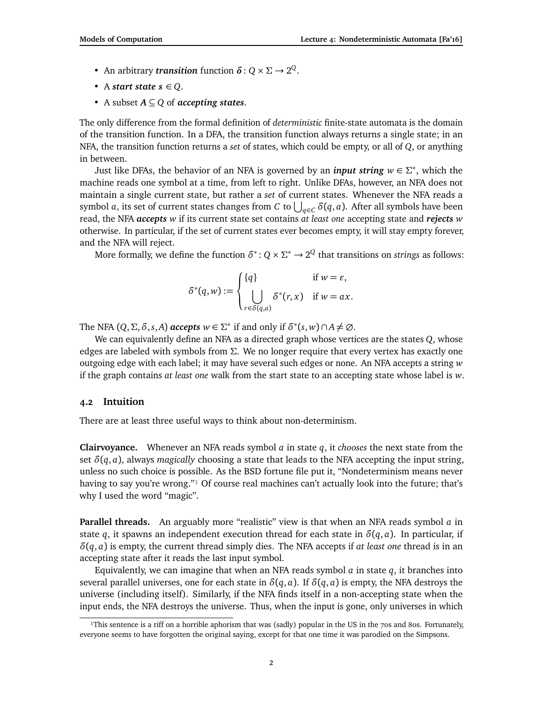- An arbitrary *transition* function  $\delta$  :  $Q \times \Sigma \rightarrow 2^Q$ .
- A *start state*  $s \in Q$ .
- A subset *A* ⊆ *Q* of *accepting states*.

The only difference from the formal definition of *deterministic* finite-state automata is the domain of the transition function. In a DFA, the transition function always returns a single state; in an NFA, the transition function returns a *set* of states, which could be empty, or all of *Q*, or anything in between.

Just like DFAs, the behavior of an NFA is governed by an *input string w* ∈ *Σ* ∗ , which the machine reads one symbol at a time, from left to right. Unlike DFAs, however, an NFA does not maintain a single current state, but rather a *set* of current states. Whenever the NFA reads a symbol *a*, its set of current states changes from *C* to  $\bigcup_{q\in C}\delta(q,a).$  After all symbols have been read, the NFA *accepts w* if its current state set contains *at least one* accepting state and *rejects w* otherwise. In particular, if the set of current states ever becomes empty, it will stay empty forever, and the NFA will reject.

More formally, we define the function  $\delta^*$ :  $Q \times \Sigma^* \to 2^Q$  that transitions on *strings* as follows:

$$
\delta^*(q, w) := \begin{cases} \{q\} & \text{if } w = \varepsilon, \\ \bigcup_{r \in \delta(q, a)} \delta^*(r, x) & \text{if } w = ax. \end{cases}
$$

The NFA  $(Q, \Sigma, \delta, s, A)$  *accepts*  $w \in \Sigma^*$  if and only if  $\delta^*(s, w) \cap A \neq \emptyset$ .

We can equivalently define an NFA as a directed graph whose vertices are the states *Q*, whose edges are labeled with symbols from *Σ*. We no longer require that every vertex has exactly one outgoing edge with each label; it may have several such edges or none. An NFA accepts a string *w* if the graph contains *at least one* walk from the start state to an accepting state whose label is *w*.

## **4.2 Intuition**

There are at least three useful ways to think about non-determinism.

**Clairvoyance.** Whenever an NFA reads symbol *a* in state *q*, it *chooses* the next state from the set  $\delta(q, a)$ , always *magically* choosing a state that leads to the NFA accepting the input string, unless no such choice is possible. As the BSD fortune file put it, "Nondeterminism means never having to say you're wrong."<sup>1</sup> Of course real machines can't actually look into the future; that's why I used the word "magic".

**Parallel threads.** An arguably more "realistic" view is that when an NFA reads symbol *a* in state *q*, it spawns an independent execution thread for each state in  $\delta(q, a)$ . In particular, if *δ*(*q*, *a*) is empty, the current thread simply dies. The NFA accepts if *at least one* thread is in an accepting state after it reads the last input symbol.

Equivalently, we can imagine that when an NFA reads symbol  $a$  in state  $q$ , it branches into several parallel universes, one for each state in  $\delta(q, a)$ . If  $\delta(q, a)$  is empty, the NFA destroys the universe (including itself). Similarly, if the NFA finds itself in a non-accepting state when the input ends, the NFA destroys the universe. Thus, when the input is gone, only universes in which

<span id="page-1-0"></span><sup>&</sup>lt;sup>1</sup>This sentence is a riff on a horrible aphorism that was (sadly) popular in the US in the 70s and 80s. Fortunately, everyone seems to have forgotten the original saying, except for that one time it was parodied on the Simpsons.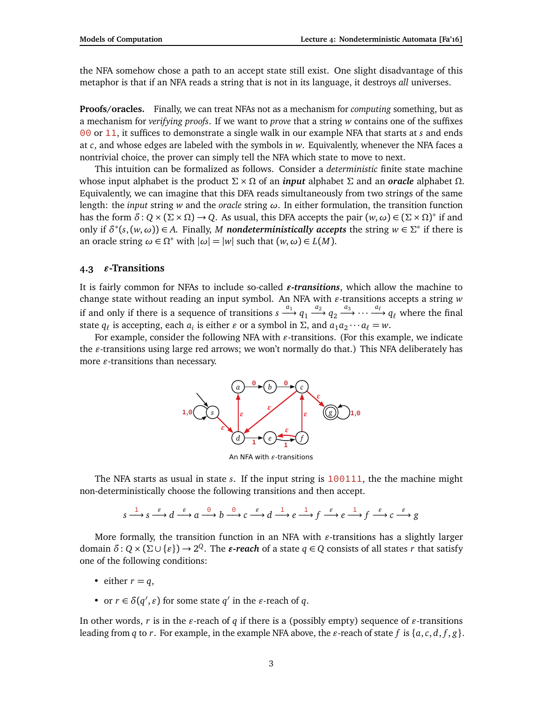the NFA somehow chose a path to an accept state still exist. One slight disadvantage of this metaphor is that if an NFA reads a string that is not in its language, it destroys *all* universes.

**Proofs/oracles.** Finally, we can treat NFAs not as a mechanism for *computing* something, but as a mechanism for *verifying proofs*. If we want to *prove* that a string *w* contains one of the suffixes 00 or 11, it suffices to demonstrate a single walk in our example NFA that starts at *s* and ends at *c*, and whose edges are labeled with the symbols in *w*. Equivalently, whenever the NFA faces a nontrivial choice, the prover can simply tell the NFA which state to move to next.

This intuition can be formalized as follows. Consider a *deterministic* finite state machine whose input alphabet is the product  $\Sigma \times \Omega$  of an *input* alphabet  $\Sigma$  and an *oracle* alphabet  $\Omega$ . Equivalently, we can imagine that this DFA reads simultaneously from two strings of the same length: the *input* string *w* and the *oracle* string *ω*. In either formulation, the transition function has the form  $\delta: Q \times (\Sigma \times \Omega) \to Q$ . As usual, this DFA accepts the pair  $(w, \omega) \in (\Sigma \times \Omega)^*$  if and only if  $\delta^*(s,(w,\omega)) \in A$ . Finally, *M* nondeterministically accepts the string  $w \in \Sigma^*$  if there is an oracle string  $\omega \in \Omega^*$  with  $|\omega| = |w|$  such that  $(w, \omega) \in L(M)$ .

### 4.3  $\varepsilon$ -Transitions

It is fairly common for NFAs to include so-called  $\varepsilon$ -transitions, which allow the machine to change state without reading an input symbol. An NFA with  $\varepsilon$ -transitions accepts a string  $w$ if and only if there is a sequence of transitions  $s \xrightarrow{a_1} q_1 \xrightarrow{a_2} q_2 \xrightarrow{a_3} \cdots \xrightarrow{a_\ell} q_\ell$  where the final state  $q_\ell$  is accepting, each  $a_i$  is either  $\varepsilon$  or a symbol in  $\Sigma$ , and  $a_1 a_2 \cdots a_\ell = w$ .

For example, consider the following NFA with  $\varepsilon$ -transitions. (For this example, we indicate the *g*-transitions using large red arrows; we won't normally do that.) This NFA deliberately has more  $\varepsilon$ -transitions than necessary.



An NFA with  $\varepsilon$ -transitions

The NFA starts as usual in state *s*. If the input string is 100111, the the machine might non-deterministically choose the following transitions and then accept.

$$
s \xrightarrow{1} s \xrightarrow{\varepsilon} d \xrightarrow{\varepsilon} a \xrightarrow{0} b \xrightarrow{0} c \xrightarrow{\varepsilon} d \xrightarrow{1} e \xrightarrow{1} f \xrightarrow{\varepsilon} e \xrightarrow{1} f \xrightarrow{\varepsilon} c \xrightarrow{\varepsilon} g
$$

More formally, the transition function in an NFA with  $\varepsilon$ -transitions has a slightly larger  ${\rm domain}\,\, \delta: Q\times (\Sigma\cup\{\varepsilon\})\to 2^Q.$  The  $\varepsilon\text{-}reach$  of a state  $q\in Q$  consists of all states  $r$  that satisfy one of the following conditions:

- either  $r = q$ ,
- or  $r \in \delta(q', \varepsilon)$  for some state  $q'$  in the  $\varepsilon$ -reach of  $q$ .

In other words, *r* is in the  $\varepsilon$ -reach of *q* if there is a (possibly empty) sequence of  $\varepsilon$ -transitions leading from *q* to *r*. For example, in the example NFA above, the  $\varepsilon$ -reach of state  $f$  is  $\{a, c, d, f, g\}$ .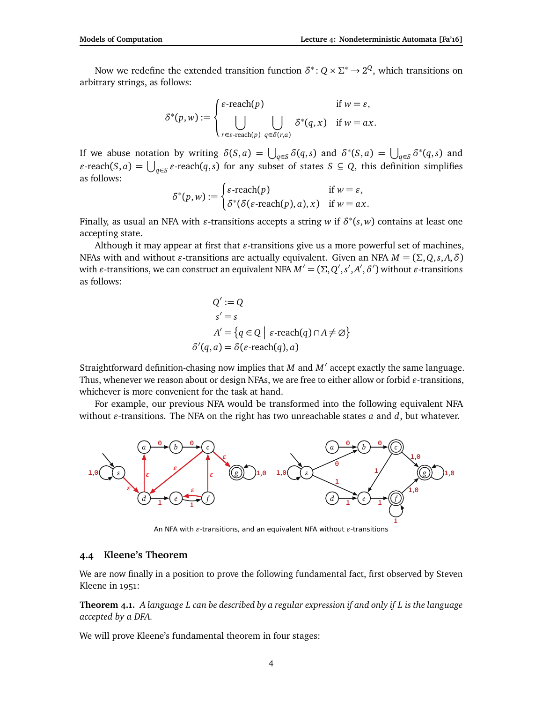Now we redefine the extended transition function  $\delta^* \colon Q \times \Sigma^* \to 2^Q$ , which transitions on arbitrary strings, as follows:

$$
\delta^*(p, w) := \begin{cases} \varepsilon\text{-reach}(p) & \text{if } w = \varepsilon, \\ \bigcup_{r \in \varepsilon\text{-reach}(p)} \bigcup_{q \in \delta(r, a)} \delta^*(q, x) & \text{if } w = ax. \end{cases}
$$

If we abuse notation by writing  $\delta(S, a) = \bigcup_{q \in S} \delta(q, s)$  and  $\delta^*(S, a) = \bigcup_{q \in S} \delta^*(q, s)$  and  $\epsilon$ -reach(*S*, *a*) =  $\bigcup_{q \in S} \epsilon$ -reach(*q*,*s*) for any subset of states *S* ⊆ *Q*, this definition simplifies as follows:

$$
\delta^*(p, w) := \begin{cases} \varepsilon\text{-reach}(p) & \text{if } w = \varepsilon, \\ \delta^*(\delta(\varepsilon\text{-reach}(p), a), x) & \text{if } w = ax. \end{cases}
$$

Finally, as usual an NFA with  $\varepsilon$ -transitions accepts a string  $w$  if  $\delta^*(s,w)$  contains at least one accepting state.

Although it may appear at first that  $\varepsilon$ -transitions give us a more powerful set of machines, NFAs with and without *ε*-transitions are actually equivalent. Given an NFA  $M = (\Sigma, Q, s, A, \delta)$ with  $\varepsilon$ -transitions, we can construct an equivalent NFA  $M'=(\Sigma,Q',s',A',\delta')$  without  $\varepsilon$ -transitions as follows:

$$
Q' := Q
$$
  
\n
$$
s' = s
$$
  
\n
$$
A' = \{q \in Q \mid \varepsilon\text{-reach}(q) \cap A \neq \emptyset\}
$$
  
\n
$$
\delta'(q, a) = \delta(\varepsilon\text{-reach}(q), a)
$$

Straightforward definition-chasing now implies that *M* and *M'* accept exactly the same language. Thus, whenever we reason about or design NFAs, we are free to either allow or forbid  $\varepsilon$ -transitions, whichever is more convenient for the task at hand.

For example, our previous NFA would be transformed into the following equivalent NFA without  $\varepsilon$ -transitions. The NFA on the right has two unreachable states  $a$  and  $d$ , but whatever.



An NFA with  $\varepsilon$ -transitions, and an equivalent NFA without  $\varepsilon$ -transitions

### **4.4 Kleene's Theorem**

We are now finally in a position to prove the following fundamental fact, first observed by Steven Kleene in 1951:

**Theorem 4.1.** *A language L can be described by a regular expression if and only if L is the language accepted by a DFA.*

We will prove Kleene's fundamental theorem in four stages: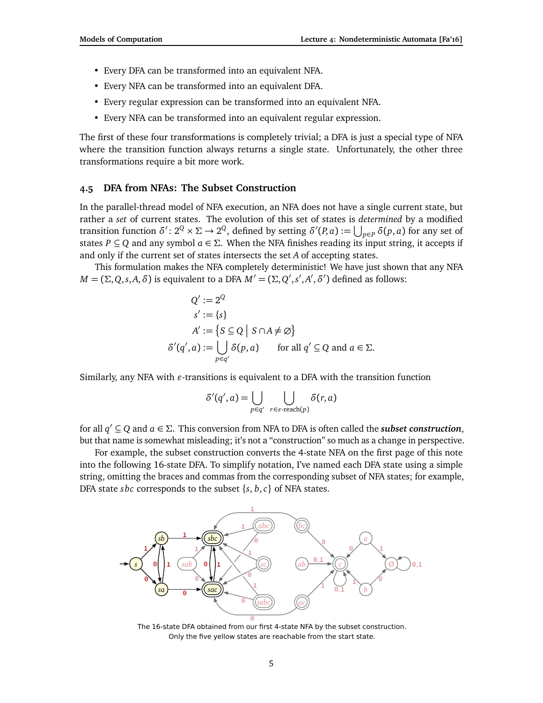- Every DFA can be transformed into an equivalent NFA.
- Every NFA can be transformed into an equivalent DFA.
- Every regular expression can be transformed into an equivalent NFA.
- Every NFA can be transformed into an equivalent regular expression.

The first of these four transformations is completely trivial; a DFA is just a special type of NFA where the transition function always returns a single state. Unfortunately, the other three transformations require a bit more work.

#### **4.5 DFA from NFAs: The Subset Construction**

In the parallel-thread model of NFA execution, an NFA does not have a single current state, but rather a *set* of current states. The evolution of this set of states is *determined* by a modified transition function  $\delta'$ :  $2^Q \times \Sigma \to 2^Q$ , defined by setting  $\delta'(P, a) := \bigcup_{p \in P} \delta(p, a)$  for any set of states  $P \subseteq Q$  and any symbol  $a \in \Sigma$ . When the NFA finishes reading its input string, it accepts if and only if the current set of states intersects the set *A* of accepting states.

This formulation makes the NFA completely deterministic! We have just shown that any NFA *M* = (Σ, *Q*, *s*, *A*, *δ*) is equivalent to a DFA  $M' = (\Sigma, Q', s', A', \delta')$  defined as follows:

$$
Q' := 2^Q
$$
  
\n
$$
s' := \{s\}
$$
  
\n
$$
A' := \{S \subseteq Q \mid S \cap A \neq \emptyset\}
$$
  
\n
$$
\delta'(q', a) := \bigcup_{p \in q'} \delta(p, a) \quad \text{for all } q' \subseteq Q \text{ and } a \in \Sigma.
$$

Similarly, any NFA with  $\varepsilon$ -transitions is equivalent to a DFA with the transition function

$$
\delta'(q',a) = \bigcup_{p \in q'} \bigcup_{r \in \varepsilon\text{-reach}(p)} \delta(r,a)
$$

for all  $q' \subseteq Q$  and  $a \in \Sigma$ . This conversion from NFA to DFA is often called the *subset construction*, but that name is somewhat misleading; it's not a "construction" so much as a change in perspective.

For example, the subset construction converts the 4-state NFA on the first page of this note into the following 16-state DFA. To simplify notation, I've named each DFA state using a simple string, omitting the braces and commas from the corresponding subset of NFA states; for example, DFA state *sbc* corresponds to the subset {*s*, *b*,*c*} of NFA states.



The 16-state DFA obtained from our first 4-state NFA by the subset construction. Only the five yellow states are reachable from the start state.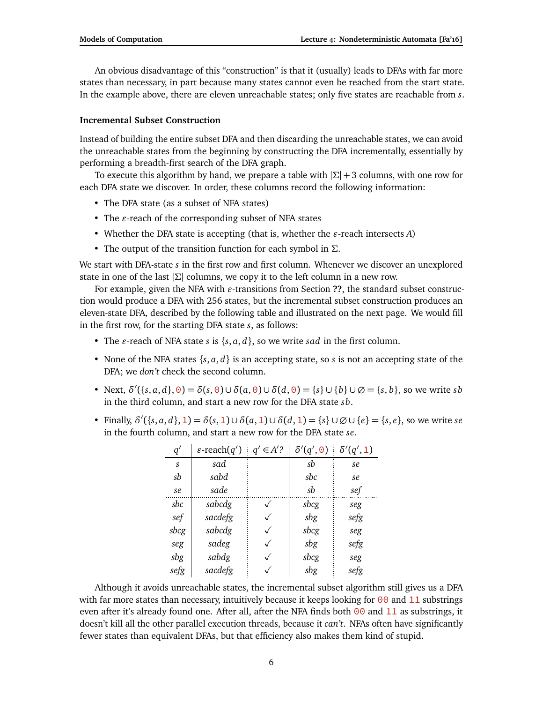An obvious disadvantage of this "construction" is that it (usually) leads to DFAs with far more states than necessary, in part because many states cannot even be reached from the start state. In the example above, there are eleven unreachable states; only five states are reachable from *s*.

#### **Incremental Subset Construction**

Instead of building the entire subset DFA and then discarding the unreachable states, we can avoid the unreachable states from the beginning by constructing the DFA incrementally, essentially by performing a breadth-first search of the DFA graph.

To execute this algorithm by hand, we prepare a table with |*Σ*| + 3 columns, with one row for each DFA state we discover. In order, these columns record the following information:

- The DFA state (as a subset of NFA states)
- The  $\varepsilon$ -reach of the corresponding subset of NFA states
- Whether the DFA state is accepting (that is, whether the  $\varepsilon$ -reach intersects  $A$ )
- The output of the transition function for each symbol in *Σ*.

We start with DFA-state *s* in the first row and first column. Whenever we discover an unexplored state in one of the last |*Σ*| columns, we copy it to the left column in a new row.

For example, given the NFA with  $\varepsilon$ -transitions from Section **??**, the standard subset construction would produce a DFA with 256 states, but the incremental subset construction produces an eleven-state DFA, described by the following table and illustrated on the next page. We would fill in the first row, for the starting DFA state *s*, as follows:

- The  $\varepsilon$ -reach of NFA state  $s$  is  $\{s, a, d\}$ , so we write *sad* in the first column.
- None of the NFA states {*s*, *a*, *d*} is an accepting state, so *s* is not an accepting state of the DFA; we *don't* check the second column.
- Next,  $\delta'({s, a, d}, 0) = \delta(s, 0) \cup \delta(a, 0) \cup \delta(d, 0) = {s} \cup {b} \cup \emptyset = {s, b}$ , so we write *sb* in the third column, and start a new row for the DFA state *sb*.
- Finally,  $\delta'({s, a, d}, 1) = \delta(s, 1) \cup \delta(a, 1) \cup \delta(d, 1) = {s} \cup \emptyset \cup \{e\} = {s, e}$ , so we write *se* in the fourth column, and start a new row for the DFA state *se*.

| q'   | $\varepsilon$ -reach $(q')$ | $q' \in A$ ? | $\delta'(q',\Theta)$ | $\delta'(q', 1)$ |
|------|-----------------------------|--------------|----------------------|------------------|
| S    | sad                         |              | sb                   | se               |
| sb   | sabd                        |              | sbc                  | se               |
| se   | sade                        |              | sb                   | sef              |
| sbc  | sabcdg                      |              | sbcg                 | seg              |
| sef  | sacdefg                     |              | sbg                  | sefg             |
| sbcg | sabcdg                      |              | sbcg                 | seg              |
| seg  | sadeg                       |              | sbg                  | sefg             |
| sbg  | sabdg                       |              | sbcg                 | seg              |
| sefg | sacdefg                     |              | sbg                  | sefg             |

Although it avoids unreachable states, the incremental subset algorithm still gives us a DFA with far more states than necessary, intuitively because it keeps looking for  $\theta\theta$  and 11 substrings even after it's already found one. After all, after the NFA finds both  $\theta\theta$  and  $11$  as substrings, it doesn't kill all the other parallel execution threads, because it *can't*. NFAs often have significantly fewer states than equivalent DFAs, but that efficiency also makes them kind of stupid.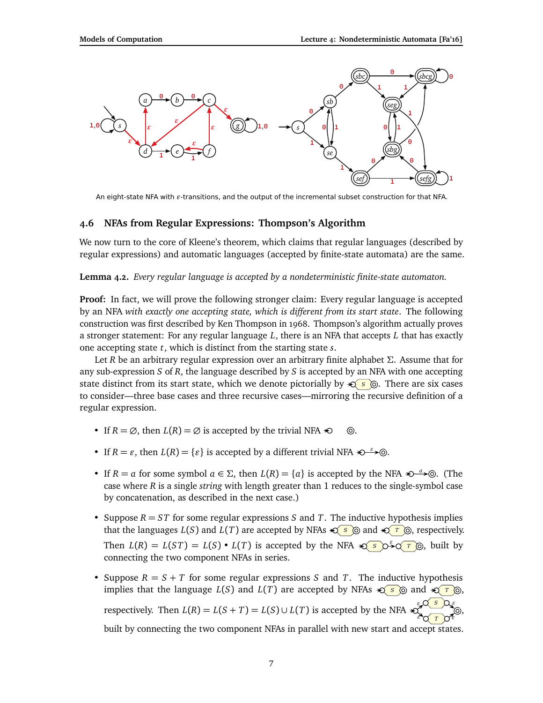

An eight-state NFA with  $\varepsilon$ -transitions, and the output of the incremental subset construction for that NFA.

### **4.6 NFAs from Regular Expressions: Thompson's Algorithm**

We now turn to the core of Kleene's theorem, which claims that regular languages (described by regular expressions) and automatic languages (accepted by finite-state automata) are the same.

**Lemma 4.2.** *Every regular language is accepted by a nondeterministic finite-state automaton.*

**Proof:** In fact, we will prove the following stronger claim: Every regular language is accepted by an NFA *with exactly one accepting state, which is different from its start state*. The following construction was first described by Ken Thompson in 1968. Thompson's algorithm actually proves a stronger statement: For any regular language *L*, there is an NFA that accepts *L* that has exactly one accepting state *t*, which is distinct from the starting state *s*.

Let *R* be an arbitrary regular expression over an arbitrary finite alphabet *Σ*. Assume that for any sub-expression *S* of *R*, the language described by *S* is accepted by an NFA with one accepting state distinct from its start state, which we denote pictorially by <del>≤</del> s ©. There are six cases to consider—three base cases and three recursive cases—mirroring the recursive definition of a regular expression.

- If  $R = \emptyset$ , then  $L(R) = \emptyset$  is accepted by the trivial NFA  $\triangleleft \emptyset$ .
- If *R* = *ε*, then *L*(*R*) = {*ε*} is accepted by a different trivial NFA  $\triangle \rightarrow \odot$ .
- If  $R = a$  for some symbol  $a \in \Sigma$ , then  $L(R) = \{a\}$  is accepted by the NFA  $\bigotimes^a \rightarrow \bigcirc$ . (The case where *R* is a single *string* with length greater than 1 reduces to the single-symbol case by concatenation, as described in the next case.)
- Suppose  $R = ST$  for some regular expressions *S* and *T*. The inductive hypothesis implies that the languages  $L(S)$  and  $L(T)$  are accepted by NFAs  $\leq S$  of and  $\leq T$  of espectively. Then  $L(R) = L(ST) = L(S) \cdot L(T)$  is accepted by the NFA  $\mathcal{L}(S) \rightarrow \mathcal{L}(T)$ , built by connecting the two component NFAs in series.
- Suppose  $R = S + T$  for some regular expressions S and T. The inductive hypothesis implies that the language  $L(S)$  and  $L(T)$  are accepted by NFAs  $\leq S \otimes$  and  $\leq T \otimes$ , respectively. Then  $L(R) = L(S + T) = L(S) \cup L(T)$  is accepted by the NFA <del> $\epsilon$ </del> *S T ε ε ε ε* , built by connecting the two component NFAs in parallel with new start and accept states.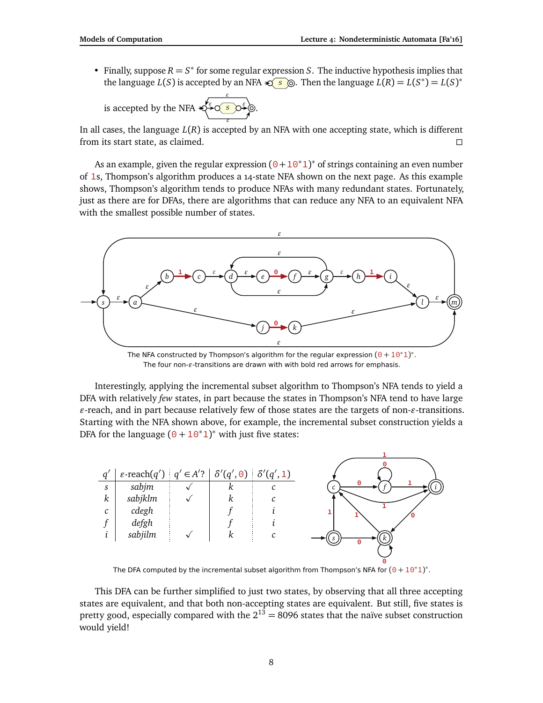• Finally, suppose  $R = S^*$  for some regular expression *S*. The inductive hypothesis implies that the language  $L(S)$  is accepted by an NFA  $\bigotimes$   $S$   $\bigotimes$ . Then the language  $L(R) = L(S^*) = L(S)^*$ 

is accepted by the NFA  $\ast$ *S ε ε ε ε* .

In all cases, the language *L*(*R*) is accepted by an NFA with one accepting state, which is different from its start state, as claimed.

As an example, given the regular expression  $(0+10^*1)^*$  of strings containing an even number of 1s, Thompson's algorithm produces a 14-state NFA shown on the next page. As this example shows, Thompson's algorithm tends to produce NFAs with many redundant states. Fortunately, just as there are for DFAs, there are algorithms that can reduce any NFA to an equivalent NFA with the smallest possible number of states.



The NFA constructed by Thompson's algorithm for the regular expression  $(0 + 10<sup>*</sup>1)<sup>*</sup>$ . The four non- $\varepsilon$ -transitions are drawn with with bold red arrows for emphasis.

Interestingly, applying the incremental subset algorithm to Thompson's NFA tends to yield a DFA with relatively *few* states, in part because the states in Thompson's NFA tend to have large  $\varepsilon$ -reach, and in part because relatively few of those states are the targets of non- $\varepsilon$ -transitions. Starting with the NFA shown above, for example, the incremental subset construction yields a DFA for the language  $(0 + 10<sup>*</sup>1)<sup>*</sup>$  with just five states:

|                  | $\varepsilon$ -reach $(q')   q' \in A'$ ? $\delta'(q', 0)   \delta'(q', 1)$ |   |   |
|------------------|-----------------------------------------------------------------------------|---|---|
| S                | sabjm                                                                       | κ | Θ |
| $\boldsymbol{k}$ | sabjklm                                                                     | k |   |
| $\mathcal{C}$    | cdegh                                                                       |   |   |
|                  | defgh                                                                       |   |   |
|                  | sabjilm                                                                     |   |   |
|                  |                                                                             |   | Θ |
|                  |                                                                             |   | Θ |

The DFA computed by the incremental subset algorithm from Thompson's NFA for  $(0 + 10<sup>*</sup>1)<sup>*</sup>$ .

This DFA can be further simplified to just two states, by observing that all three accepting states are equivalent, and that both non-accepting states are equivalent. But still, five states is pretty good, especially compared with the  $2^{13} = 8096$  states that the naïve subset construction would yield!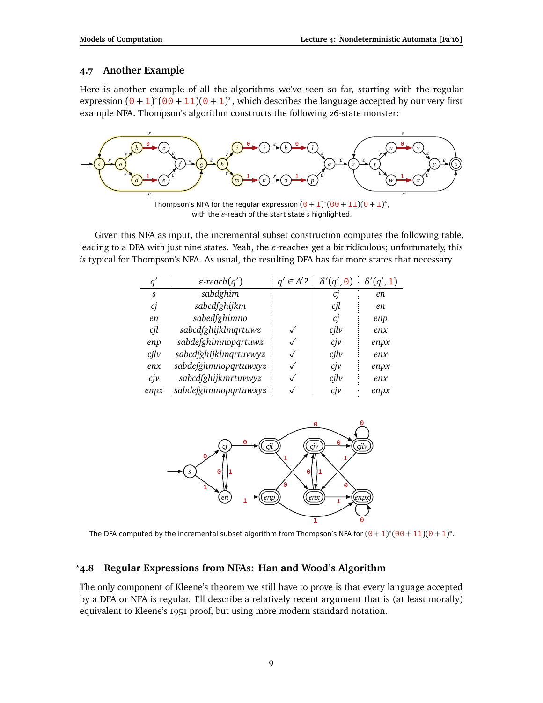## **4.7 Another Example**

Here is another example of all the algorithms we've seen so far, starting with the regular expression  $(0 + 1)^*(00 + 11)(0 + 1)^*$ , which describes the language accepted by our very first example NFA. Thompson's algorithm constructs the following 26-state monster:



Given this NFA as input, the incremental subset construction computes the following table, leading to a DFA with just nine states. Yeah, the  $\varepsilon$ -reaches get a bit ridiculous; unfortunately, this *is* typical for Thompson's NFA. As usual, the resulting DFA has far more states that necessary.

| q                 | $\varepsilon$ -reach $(q')$ | $\in$ A'? | $\delta'(q',\Theta)$ | $\delta'(q',1)$ |
|-------------------|-----------------------------|-----------|----------------------|-----------------|
| S                 | sabdghim                    |           | C1                   | en              |
| сj                | sabcdfghijkm                |           | cjl                  | en              |
| en                | sabedfghimno                |           | cj                   | enp             |
| cjl               | sabcdfghijklmqrtuwz         |           | c <sub>il</sub> v    | enx             |
| enp               | sabdefghimnopqrtuwz         |           | $c$ jv               | enpx            |
| c <sub>il</sub> v | sabcdfghijklmqrtuvwyz       |           | c <sub>il</sub> v    | enx             |
| enx               | sabdefghmnopqrtuwxyz        |           | $c$ jv               | enpx            |
| c <sub>j</sub> v  | sabcdfghijkmrtuvwyz         |           | cjlv                 | enx             |
| enpx              | sabdefghmnopqrtuwxyz        |           | $c\dot{\gamma}$      | enpx            |



The DFA computed by the incremental subset algorithm from Thompson's NFA for  $(0+1)^*(00+11)(0+1)^*$ .

## *?***4.8 Regular Expressions from NFAs: Han and Wood's Algorithm**

The only component of Kleene's theorem we still have to prove is that every language accepted by a DFA or NFA is regular. I'll describe a relatively recent argument that is (at least morally) equivalent to Kleene's 1951 proof, but using more modern standard notation.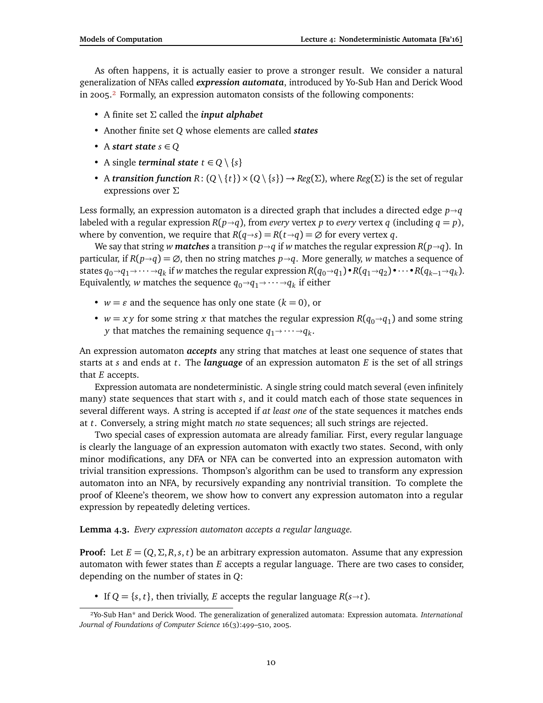As often happens, it is actually easier to prove a stronger result. We consider a natural generalization of NFAs called *expression automata*, introduced by Yo-Sub Han and Derick Wood in 2005[.²](#page-9-0) Formally, an expression automaton consists of the following components:

- A finite set *Σ* called the *input alphabet*
- Another finite set *Q* whose elements are called *states*
- A *start state*  $s \in Q$
- A single *terminal state*  $t \in Q \setminus \{s\}$
- A *transition function*  $R: (Q \setminus \{t\}) \times (Q \setminus \{s\}) \to Reg(\Sigma)$ , where  $Reg(\Sigma)$  is the set of regular expressions over *Σ*

Less formally, an expression automaton is a directed graph that includes a directed edge  $p \rightarrow q$ labeled with a regular expression  $R(p \rightarrow q)$ , from *every* vertex *p* to *every* vertex *q* (including  $q = p$ ), where by convention, we require that  $R(q\rightarrow s) = R(t\rightarrow q) = \emptyset$  for every vertex q.

We say that string *w* matches a transition  $p \rightarrow q$  if *w* matches the regular expression  $R(p \rightarrow q)$ . In particular, if  $R(p\rightarrow q) = \emptyset$ , then no string matches  $p\rightarrow q$ . More generally, *w* matches a sequence of states  $q_0 \rightarrow q_1 \rightarrow \cdots \rightarrow q_k$  if *w* matches the regular expression  $R(q_0 \rightarrow q_1) \cdot R(q_1 \rightarrow q_2) \cdot \cdots \cdot R(q_{k-1} \rightarrow q_k)$ . Equivalently,  $w$  matches the sequence  $q_0 \rightarrow q_1 \rightarrow \cdots \rightarrow q_k$  if either

- $w = \varepsilon$  and the sequence has only one state  $(k = 0)$ , or
- *w* = *xy* for some string *x* that matches the regular expression  $R(q_0 \rightarrow q_1)$  and some string *x* that matches the remaining sequence *g*  $\alpha$  and *g y* that matches the remaining sequence  $q_1 \rightarrow \cdots \rightarrow q_k$ .

An expression automaton *accepts* any string that matches at least one sequence of states that starts at *s* and ends at *t*. The *language* of an expression automaton *E* is the set of all strings that *E* accepts.

Expression automata are nondeterministic. A single string could match several (even infinitely many) state sequences that start with *s*, and it could match each of those state sequences in several different ways. A string is accepted if *at least one* of the state sequences it matches ends at *t*. Conversely, a string might match *no* state sequences; all such strings are rejected.

Two special cases of expression automata are already familiar. First, every regular language is clearly the language of an expression automaton with exactly two states. Second, with only minor modifications, any DFA or NFA can be converted into an expression automaton with trivial transition expressions. Thompson's algorithm can be used to transform any expression automaton into an NFA, by recursively expanding any nontrivial transition. To complete the proof of Kleene's theorem, we show how to convert any expression automaton into a regular expression by repeatedly deleting vertices.

#### **Lemma 4.3.** *Every expression automaton accepts a regular language.*

**Proof:** Let  $E = (Q, \Sigma, R, s, t)$  be an arbitrary expression automaton. Assume that any expression automaton with fewer states than *E* accepts a regular language. There are two cases to consider, depending on the number of states in *Q*:

• If  $Q = \{s, t\}$ , then trivially, *E* accepts the regular language  $R(s \rightarrow t)$ .

<span id="page-9-0"></span>²Yo-Sub Han\* and Derick Wood. The generalization of generalized automata: Expression automata. *International Journal of Foundations of Computer Science* 16(3):499–510, 2005.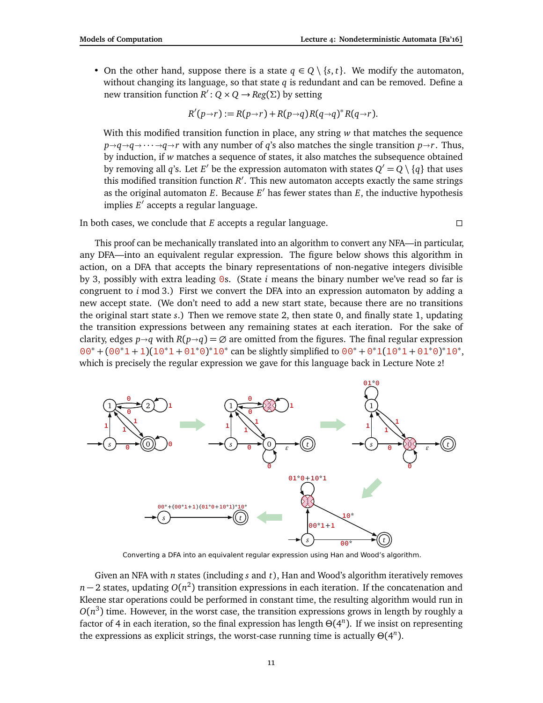• On the other hand, suppose there is a state  $q \in Q \setminus \{s, t\}$ . We modify the automaton, without changing its language, so that state *q* is redundant and can be removed. Define a new transition function  $R' : Q \times Q \rightarrow Reg(\Sigma)$  by setting

$$
R'(p\rightarrow r):=R(p\rightarrow r)+R(p\rightarrow q)R(q\rightarrow q)^*R(q\rightarrow r).
$$

With this modified transition function in place, any string *w* that matches the sequence  $p \rightarrow q \rightarrow q \rightarrow \cdots \rightarrow q \rightarrow r$  with any number of *q*'s also matches the single transition  $p \rightarrow r$ . Thus, by induction, if *w* matches a sequence of states, it also matches the subsequence obtained by removing all *q*'s. Let *E'* be the expression automaton with states  $Q' = Q \setminus \{q\}$  that uses this modified transition function *R'*. This new automaton accepts exactly the same strings as the original automaton *E*. Because  $E'$  has fewer states than  $E$ , the inductive hypothesis implies E<sup>'</sup> accepts a regular language.

In both cases, we conclude that *E* accepts a regular language.

This proof can be mechanically translated into an algorithm to convert any NFA—in particular, any DFA—into an equivalent regular expression. The figure below shows this algorithm in action, on a DFA that accepts the binary representations of non-negative integers divisible by 3, possibly with extra leading 0s. (State *i* means the binary number we've read so far is congruent to  $i$  mod 3.) First we convert the DFA into an expression automaton by adding a new accept state. (We don't need to add a new start state, because there are no transitions the original start state *s*.) Then we remove state 2, then state 0, and finally state 1, updating the transition expressions between any remaining states at each iteration. For the sake of clarity, edges  $p \rightarrow q$  with  $R(p \rightarrow q) = \emptyset$  are omitted from the figures. The final regular expression  $00^* + (00^*1 + 1)(10^*1 + 01^*0)^*10^*$  can be slightly simplified to  $00^* + 0^*1(10^*1 + 01^*0)^*10^*$ , which is precisely the regular expression we gave for this language back in Lecture Note 2!



Converting a DFA into an equivalent regular expression using Han and Wood's algorithm.

Given an NFA with *n* states (including *s* and *t*), Han and Wood's algorithm iteratively removes *n* − 2 states, updating *O*(*n*<sup>2</sup>) transition expressions in each iteration. If the concatenation and Kleene star operations could be performed in constant time, the resulting algorithm would run in  $O(n^3)$  time. However, in the worst case, the transition expressions grows in length by roughly a factor of 4 in each iteration, so the final expression has length  $\Theta(4^n)$ . If we insist on representing the expressions as explicit strings, the worst-case running time is actually *Θ*(4 *n* ).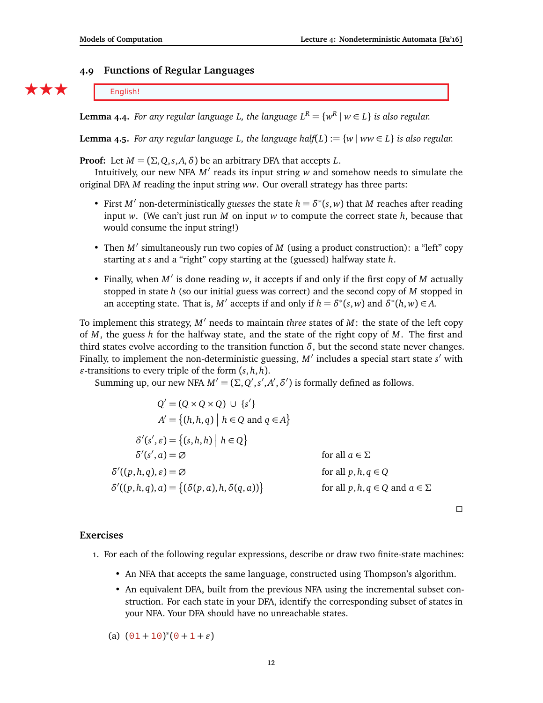## **4.9 Functions of Regular Languages**

 $\star \star \star$  English!

**Lemma 4.4.** *For any regular language L, the language*  $L^R = \{w^R \mid w \in L\}$  *is also regular.* 

**Lemma 4.5.** *For any regular language L, the language half*( $L$ ) :=  $\{w \mid ww \in L\}$  *is also regular.* 

**Proof:** Let  $M = (\Sigma, Q, s, A, \delta)$  be an arbitrary DFA that accepts *L*.

Intuitively, our new NFA M' reads its input string w and somehow needs to simulate the original DFA *M* reading the input string *ww*. Our overall strategy has three parts:

- First  $M'$  non-deterministically *guesses* the state  $h = \delta^*(s, w)$  that  $M$  reaches after reading input *w*. (We can't just run *M* on input *w* to compute the correct state *h*, because that would consume the input string!)
- Then *M'* simultaneously run two copies of *M* (using a product construction): a "left" copy starting at *s* and a "right" copy starting at the (guessed) halfway state *h*.
- Finally, when *M'* is done reading *w*, it accepts if and only if the first copy of *M* actually stopped in state *h* (so our initial guess was correct) and the second copy of *M* stopped in an accepting state. That is, *M'* accepts if and only if  $h = \delta^*(s, w)$  and  $\delta^*(h, w) \in A$ .

To implement this strategy,  $M'$  needs to maintain *three* states of  $M$ : the state of the left copy of *M*, the guess *h* for the halfway state, and the state of the right copy of *M*. The first and third states evolve according to the transition function  $\delta$ , but the second state never changes. Finally, to implement the non-deterministic guessing, M' includes a special start state s' with  $\varepsilon$ -transitions to every triple of the form  $(s, h, h)$ .

Summing up, our new NFA  $M' = (\Sigma, Q', s', A', \delta')$  is formally defined as follows.

$$
Q' = (Q \times Q \times Q) \cup \{s'\}
$$
  
\n
$$
A' = \{(h, h, q) | h \in Q \text{ and } q \in A\}
$$
  
\n
$$
\delta'(s', \varepsilon) = \{(s, h, h) | h \in Q\}
$$
  
\n
$$
\delta'(s', a) = \emptyset \qquad \text{for all } a \in \Sigma
$$
  
\n
$$
\delta'((p, h, q), \varepsilon) = \emptyset \qquad \text{for all } p, h, q \in Q
$$
  
\n
$$
\delta'((p, h, q), a) = \{(\delta(p, a), h, \delta(q, a))\} \qquad \text{for all } p, h, q \in Q \text{ and } a \in \Sigma
$$

 $\Box$ 

### **Exercises**

- 1. For each of the following regular expressions, describe or draw two finite-state machines:
	- An NFA that accepts the same language, constructed using Thompson's algorithm.
	- An equivalent DFA, built from the previous NFA using the incremental subset construction. For each state in your DFA, identify the corresponding subset of states in your NFA. Your DFA should have no unreachable states.

(a) 
$$
(01+10)^*(0+1+\varepsilon)
$$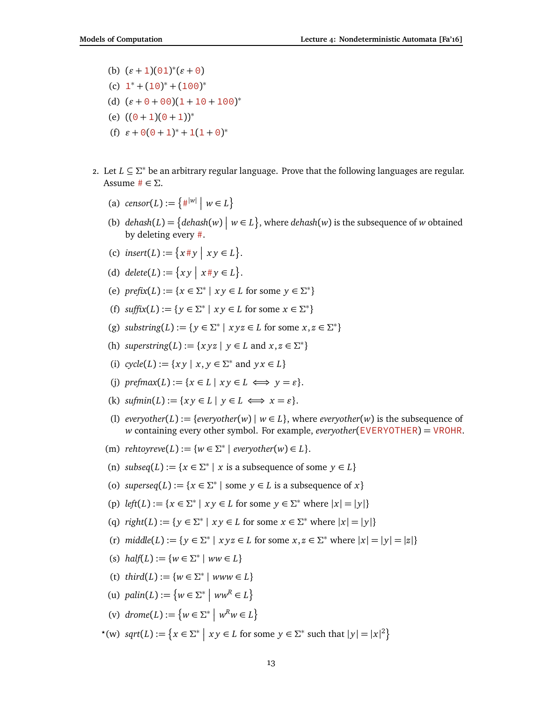- (b)  $(\varepsilon + 1)(01)^*(\varepsilon + 0)$
- (c)  $1^* + (10)^* + (100)^*$
- (d)  $(\varepsilon + 0 + 00)(1 + 10 + 100)^*$
- (e)  $((0 + 1)(0 + 1))^*$
- (f)  $\varepsilon + \Theta(0+1)^* + 1(1+\Theta)^*$
- 2. Let *L* ⊆ *Σ* <sup>∗</sup> be an arbitrary regular language. Prove that the following languages are regular. Assume # ∈ *Σ*.
	- (a)  $censor(L) := \{ \#^{|w|} \mid w \in L \}$
	- (b)  $dehash(L) = \{dehash(w) \mid w \in L\}$ , where  $dehash(w)$  is the subsequence of *w* obtained by deleting every #.
	- (c)  $\text{insert}(L) := \{x \# y \mid xy \in L\}.$
	- (d)  $delete(L) := \{ xy \mid x \# y \in L \}.$
	- (e)  $\text{prefix}(L) := \{x \in \Sigma^* \mid xy \in L \text{ for some } y \in \Sigma^*\}$
	- (f)  $\text{suffix}(L) := \{ y \in \Sigma^* \mid xy \in L \text{ for some } x \in \Sigma^* \}$
	- (g) *substring*(*L*) := { $y \in \Sigma^* \mid xyz \in L$  for some  $x, z \in \Sigma^*$ }
	- (h) *superstring*(*L*) := { $xyz | y \in L$  and  $x, z \in \Sigma^*$ }
	- (i)  $cycle(L) := \{ xy \mid x, y \in \Sigma^* \text{ and } yx \in L \}$
	- (i) *prefmax* $(L) := \{x \in L \mid x \vee \in L \iff y = \varepsilon\}.$
	- (k)  $\text{summin}(L) := \{ xy \in L \mid y \in L \iff x = \varepsilon \}.$
	- (1) *everyother*(*L*) := {*everyother*(*w*) |  $w \in L$ }, where *everyother*(*w*) is the subsequence of *w* containing every other symbol. For example, *everyother*(EVERYOTHER) = VROHR.
	- $(m)$  *rehtoyreve* $(L) := \{w \in \Sigma^* \mid \text{everyother}(w) \in L\}.$
	- (n) *subseq*( $L$ ) := { $x \in \Sigma^*$  |  $x$  is a subsequence of some  $y \in L$ }
	- (o) *superseq*( $L$ ) := { $x \in \Sigma^*$  | some  $y \in L$  is a subsequence of  $x$ }
	- (p)  $left(L) := \{x \in \Sigma^* \mid xy \in L \text{ for some } y \in \Sigma^* \text{ where } |x| = |y|\}$
	- (q)  $\text{right}(L) := \{ y \in \Sigma^* \mid xy \in L \text{ for some } x \in \Sigma^* \text{ where } |x| = |y| \}$
	- (r)  $middle(L) := \{ y \in \Sigma^* \mid xyz \in L \text{ for some } x, z \in \Sigma^* \text{ where } |x| = |y| = |z| \}$
	- (s)  $half(L) := \{w \in \Sigma^* \mid ww \in L\}$
	- (t)  $third(L) := \{w \in \Sigma^* \mid www \in L\}$
	- (u)  $\text{palin}(L) := \{ w \in \Sigma^* \mid ww^R \in L \}$
	- (v)  $drome(L) := \{w \in \Sigma^* \mid w^Rw \in L\}$
	- $\mathcal{X}(w)$  *sqrt*(*L*) := { $x \in \Sigma^* \mid xy \in L$  for some  $y \in \Sigma^*$  such that  $|y| = |x|^2$ }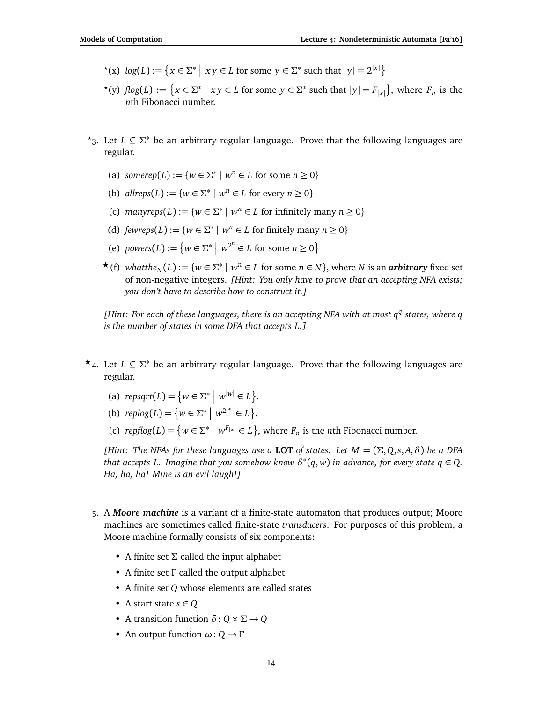- $\mathcal{P}^*(x) \log(L) := \left\{ x \in \Sigma^* \mid xy \in L \text{ for some } y \in \Sigma^* \text{ such that } |y| = 2^{|x|} \right\}$
- $f(y) \text{ } f \text{log}(L) := \left\{ x \in \Sigma^* \mid xy \in L \text{ for some } y \in \Sigma^* \text{ such that } |y| = F_{|x|} \right\}, \text{ where } F_n \text{ is the }$ *n*th Fibonacci number.
- *?*3. Let *L* ⊆ *Σ* <sup>∗</sup> be an arbitrary regular language. Prove that the following languages are regular.
	- (a) *somerep* $(L) := \{ w \in \Sigma^* \mid w^n \in L \text{ for some } n \geq 0 \}$
	- (b)  $allreps(L) := \{w \in \Sigma^* \mid w^n \in L \text{ for every } n \ge 0\}$
	- (c)  $manyreps(L) := \{w \in \Sigma^* \mid w^n \in L \text{ for infinitely many } n \geq 0\}$
	- (d)  $fewreps(L) := \{w \in \Sigma^* \mid w^n \in L \text{ for finitely many } n \ge 0\}$
	- (e) *powers*(*L*) :=  $\{w \in \Sigma^* \mid w^{2^n} \in L \text{ for some } n \ge 0\}$
	- ★ (f) *whatthe<sub>N</sub>*(*L*) := { $w \in \Sigma^*$  |  $w^n \in L$  for some  $n \in N$ }, where *N* is an *arbitrary* fixed set of non-negative integers. *[Hint: You only have to prove that an accepting NFA exists; you don't have to describe how to construct it.]*

*[Hint: For each of these languages, there is an accepting NFA with at most q q states, where q is the number of states in some DFA that accepts L.]*

- **★**<sub>4</sub>. Let *L* ⊆  $\Sigma^*$  be an arbitrary regular language. Prove that the following languages are regular.
	- (a)  $\text{repsqrt}(L) = \{ w \in \Sigma^* \mid w^{|w|} \in L \}.$
	- (b)  $replog(L) = \{ w \in \Sigma^* \mid w^{2^{|w|}} \in L \}.$
	- (c)  $replog(L) = \{ w \in \Sigma^* \mid w^{F_{|w|}} \in L \}$ , where  $F_n$  is the *n*th Fibonacci number.

*(Hint: The NFAs for these languages use a LOT of states. Let*  $M = (\Sigma, Q, s, A, \delta)$  be a DFA *that accepts L. Imagine that you somehow know*  $\delta^*(q, w)$  *in advance, for every state*  $q \in Q$ *. Ha, ha, ha! Mine is an evil laugh!]*

- 5. A *Moore machine* is a variant of a finite-state automaton that produces output; Moore machines are sometimes called finite-state *transducers*. For purposes of this problem, a Moore machine formally consists of six components:
	- A finite set Σ called the input alphabet
	- A finite set *Γ* called the output alphabet
	- A finite set *Q* whose elements are called states
	- A start state  $s \in Q$
	- A transition function  $\delta$ :  $Q \times \Sigma \rightarrow Q$
	- An output function *ω*: *Q* → *Γ*